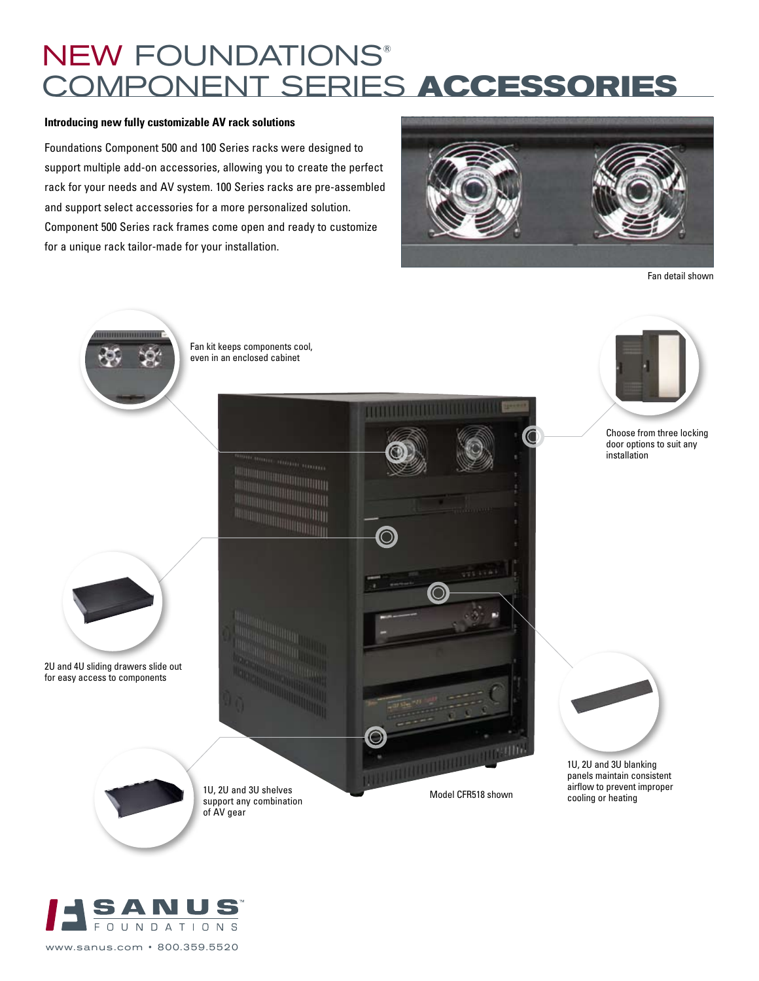# **NEW FOUNDATIONS®** Component Series **Accessories**

#### **Introducing new fully customizable AV rack solutions**

Foundations Component 500 and 100 Series racks were designed to support multiple add-on accessories, allowing you to create the perfect rack for your needs and AV system. 100 Series racks are pre-assembled and support select accessories for a more personalized solution. Component 500 Series rack frames come open and ready to customize for a unique rack tailor-made for your installation.



Fan detail shown





Choose from three locking door options to suit any installation



1U, 2U and 3U blanking panels maintain consistent airflow to prevent improper